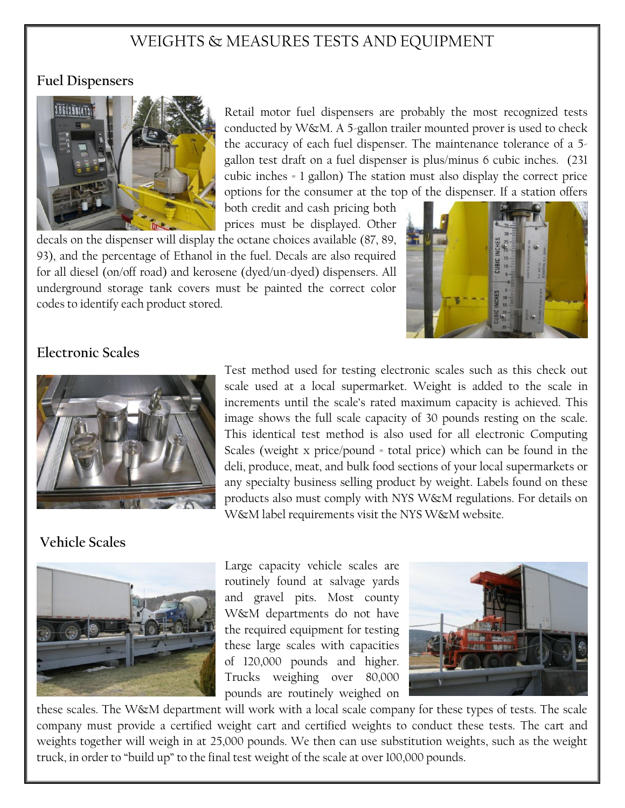# WEIGHTS & MEASURES TESTS AND EQUIPMENT

#### **Fuel Dispensers**



Retail motor fuel dispensers are probably the most recognized tests conducted by W&M. A 5-gallon trailer mounted prover is used to check the accuracy of each fuel dispenser. The maintenance tolerance of a 5 gallon test draft on a fuel dispenser is plus/minus 6 cubic inches. (231 cubic inches = 1 gallon) The station must also display the correct price options for the consumer at the top of the dispenser. If a station offers

both credit and cash pricing both prices must be displayed. Other

decals on the dispenser will display the octane choices available (87, 89, 93), and the percentage of Ethanol in the fuel. Decals are also required for all diesel (on/off road) and kerosene (dyed/un-dyed) dispensers. All underground storage tank covers must be painted the correct color codes to identify each product stored.



### **Electronic Scales**



Test method used for testing electronic scales such as this check out scale used at a local supermarket. Weight is added to the scale in increments until the scale's rated maximum capacity is achieved. This image shows the full scale capacity of 30 pounds resting on the scale. This identical test method is also used for all electronic Computing Scales (weight x price/pound = total price) which can be found in the deli, produce, meat, and bulk food sections of your local supermarkets or any specialty business selling product by weight. Labels found on these products also must comply with NYS W&M regulations. For details on W&M label requirements visit the NYS W&M website.

#### **Vehicle Scales**



Large capacity vehicle scales are routinely found at salvage yards and gravel pits. Most county W&M departments do not have the required equipment for testing these large scales with capacities of 120,000 pounds and higher. Trucks weighing over 80,000 pounds are routinely weighed on



these scales. The W&M department will work with a local scale company for these types of tests. The scale company must provide a certified weight cart and certified weights to conduct these tests. The cart and weights together will weigh in at 25,000 pounds. We then can use substitution weights, such as the weight truck, in order to "build up" to the final test weight of the scale at over 100,000 pounds.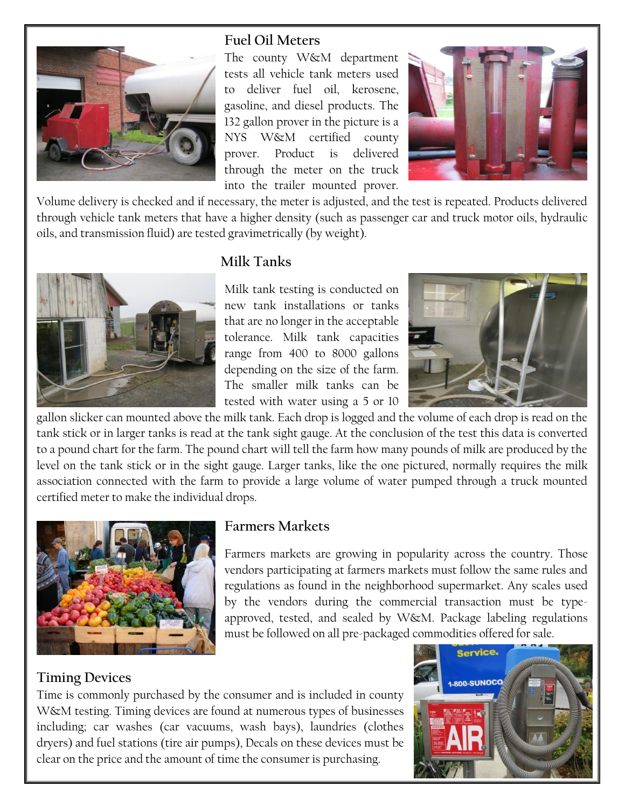

#### **Fuel Oil Meters**

The county W&M department tests all vehicle tank meters used to deliver fuel oil, kerosene, gasoline, and diesel products. The 132 gallon prover in the picture is a NYS W&M certified county prover. Product is delivered through the meter on the truck into the trailer mounted prover.



Volume delivery is checked and if necessary, the meter is adjusted, and the test is repeated. Products delivered through vehicle tank meters that have a higher density (such as passenger car and truck motor oils, hydraulic oils, and transmission fluid) are tested gravimetrically (by weight).



### **Milk Tanks**

Milk tank testing is conducted on new tank installations or tanks that are no longer in the acceptable tolerance. Milk tank capacities range from 400 to 8000 gallons depending on the size of the farm. The smaller milk tanks can be tested with water using a 5 or 10



gallon slicker can mounted above the milk tank. Each drop is logged and the volume of each drop is read on the tank stick or in larger tanks is read at the tank sight gauge. At the conclusion of the test this data is converted to a pound chart for the farm. The pound chart will tell the farm how many pounds of milk are produced by the level on the tank stick or in the sight gauge. Larger tanks, like the one pictured, normally requires the milk association connected with the farm to provide a large volume of water pumped through a truck mounted certified meter to make the individual drops.



#### **Farmers Markets**

Farmers markets are growing in popularity across the country. Those vendors participating at farmers markets must follow the same rules and regulations as found in the neighborhood supermarket. Any scales used by the vendors during the commercial transaction must be typeapproved, tested, and sealed by W&M. Package labeling regulations must be followed on all pre-packaged commodities offered for sale.

#### **Timing Devices**

Time is commonly purchased by the consumer and is included in county W&M testing. Timing devices are found at numerous types of businesses including; car washes (car vacuums, wash bays), laundries (clothes dryers) and fuel stations (tire air pumps), Decals on these devices must be clear on the price and the amount of time the consumer is purchasing.

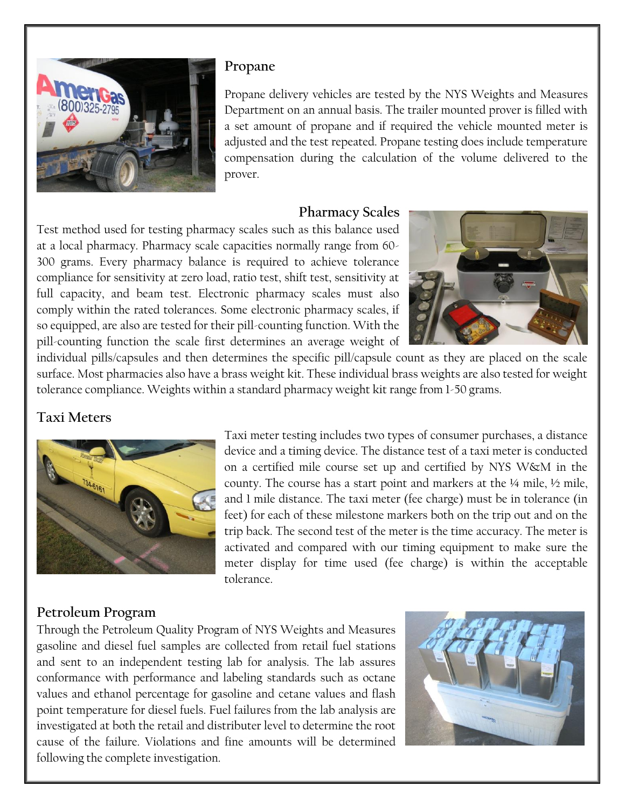

#### **Propane**

Propane delivery vehicles are tested by the NYS Weights and Measures Department on an annual basis. The trailer mounted prover is filled with a set amount of propane and if required the vehicle mounted meter is adjusted and the test repeated. Propane testing does include temperature compensation during the calculation of the volume delivered to the prover.

#### **Pharmacy Scales**

Test method used for testing pharmacy scales such as this balance used at a local pharmacy. Pharmacy scale capacities normally range from 60- 300 grams. Every pharmacy balance is required to achieve tolerance compliance for sensitivity at zero load, ratio test, shift test, sensitivity at full capacity, and beam test. Electronic pharmacy scales must also comply within the rated tolerances. Some electronic pharmacy scales, if so equipped, are also are tested for their pill-counting function. With the pill-counting function the scale first determines an average weight of



individual pills/capsules and then determines the specific pill/capsule count as they are placed on the scale surface. Most pharmacies also have a brass weight kit. These individual brass weights are also tested for weight tolerance compliance. Weights within a standard pharmacy weight kit range from 1-50 grams.

## **Taxi Meters**



Taxi meter testing includes two types of consumer purchases, a distance device and a timing device. The distance test of a taxi meter is conducted on a certified mile course set up and certified by NYS W&M in the county. The course has a start point and markers at the ¼ mile, ½ mile, and 1 mile distance. The taxi meter (fee charge) must be in tolerance (in feet) for each of these milestone markers both on the trip out and on the trip back. The second test of the meter is the time accuracy. The meter is activated and compared with our timing equipment to make sure the meter display for time used (fee charge) is within the acceptable tolerance.

### **Petroleum Program**

Through the Petroleum Quality Program of NYS Weights and Measures gasoline and diesel fuel samples are collected from retail fuel stations and sent to an independent testing lab for analysis. The lab assures conformance with performance and labeling standards such as octane values and ethanol percentage for gasoline and cetane values and flash point temperature for diesel fuels. Fuel failures from the lab analysis are investigated at both the retail and distributer level to determine the root cause of the failure. Violations and fine amounts will be determined following the complete investigation.

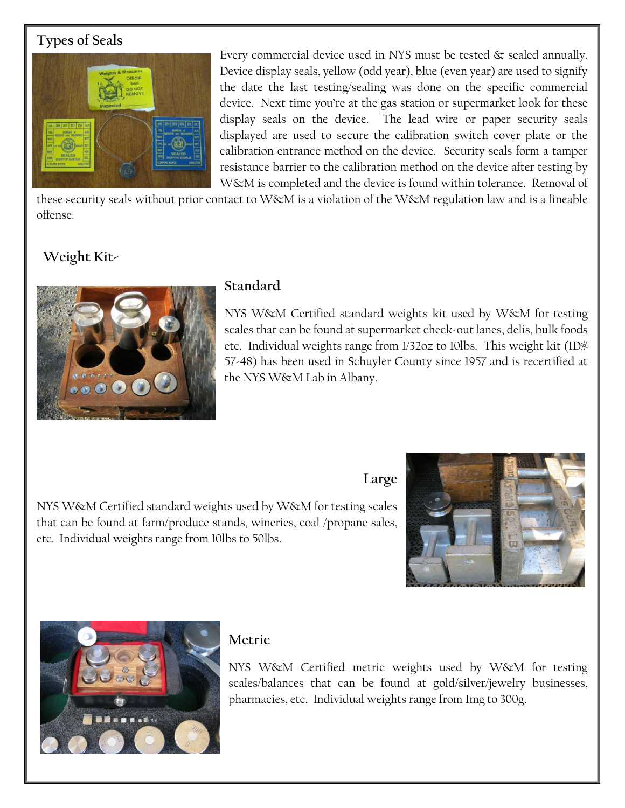## **Types of Seals**



Every commercial device used in NYS must be tested  $\&$  sealed annually. Device display seals, yellow (odd year), blue (even year) are used to signify the date the last testing/sealing was done on the specific commercial device. Next time you're at the gas station or supermarket look for these display seals on the device. The lead wire or paper security seals displayed are used to secure the calibration switch cover plate or the calibration entrance method on the device. Security seals form a tamper resistance barrier to the calibration method on the device after testing by W&M is completed and the device is found within tolerance. Removal of

these security seals without prior contact to W&M is a violation of the W&M regulation law and is a fineable offense.

## **Weight Kit-**



### **Standard**

NYS W&M Certified standard weights kit used by W&M for testing scales that can be found at supermarket check-out lanes, delis, bulk foods etc. Individual weights range from  $1/32$ oz to 10lbs. This weight kit (ID $\#$ 57-48) has been used in Schuyler County since 1957 and is recertified at the NYS W&M Lab in Albany.

# **Large**

NYS W&M Certified standard weights used by W&M for testing scales that can be found at farm/produce stands, wineries, coal /propane sales, etc. Individual weights range from 10lbs to 50lbs.





## **Metric**

NYS W&M Certified metric weights used by W&M for testing scales/balances that can be found at gold/silver/jewelry businesses, pharmacies, etc. Individual weights range from 1mg to 300g.